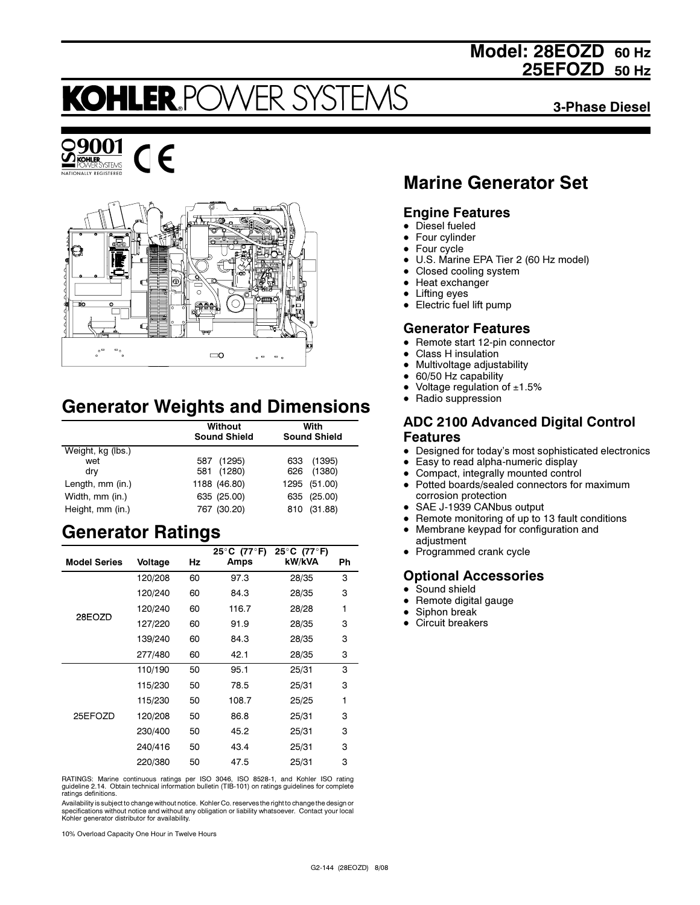# Model: 28EOZD 60 Hz 25EFOZD 50 Hz

# **VER SYSTE KOHLER.POV**

3-Phase Diesel





 $\epsilon$ 

# Generator Weights and Dimensions

|                   | Without<br><b>Sound Shield</b> | With<br><b>Sound Shield</b> |
|-------------------|--------------------------------|-----------------------------|
| Weight, kg (lbs.) |                                |                             |
| wet               | (1295)<br>587                  | (1395)<br>633               |
| dry               | 581 (1280)                     | 626 (1380)                  |
| Length, mm (in.)  | 1188 (46.80)                   | 1295 (51.00)                |
| Width, mm (in.)   | 635 (25.00)                    | 635 (25.00)                 |
| Height, mm (in.)  | 767 (30.20)                    | (31.88)<br>810              |

# Generator Ratings

|                     |         |    | 25 $\degree$ C (77 $\degree$ F) | 25°C (77°F) |    |
|---------------------|---------|----|---------------------------------|-------------|----|
| <b>Model Series</b> | Voltage | Hz | Amps                            | kW/kVA      | Ph |
|                     | 120/208 | 60 | 97.3                            | 28/35       | 3  |
|                     | 120/240 | 60 | 84.3                            | 28/35       | 3  |
|                     | 120/240 | 60 | 116.7                           | 28/28       | 1  |
| 28EOZD              | 127/220 | 60 | 91.9                            | 28/35       | 3  |
|                     | 139/240 | 60 | 84.3                            | 28/35       | 3  |
|                     | 277/480 | 60 | 42.1                            | 28/35       | 3  |
|                     | 110/190 | 50 | 95.1                            | 25/31       | 3  |
|                     | 115/230 | 50 | 78.5                            | 25/31       | 3  |
|                     | 115/230 | 50 | 108.7                           | 25/25       | 1  |
| 25EFOZD             | 120/208 | 50 | 86.8                            | 25/31       | з  |
|                     | 230/400 | 50 | 45.2                            | 25/31       | 3  |
|                     | 240/416 | 50 | 43.4                            | 25/31       | 3  |
|                     | 220/380 | 50 | 47.5                            | 25/31       | 3  |

RATINGS: Marine continuous ratings per ISO 3046, ISO 8528-1, and Kohler ISO rating guideline 2.14. Obtain technical information bulletin (TIB-101) on ratings guidelines for complete ratings definitions.

Availability is subject to change without notice. Kohler Co. reserves the right to change the design or specifications without notice and without any obligation or liability whatsoever. Contact your local Kohler generator distributor for availability.

10% Overload Capacity One Hour in Twelve Hours

# Marine Generator Set

### Engine Features

- Diesel fueled
- $\bullet$ Four cylinder
- $\bullet$ Four cycle
- $\bullet$ U.S. Marine EPA Tier 2 (60 Hz model)
- $\bullet$ Closed cooling system
- $\bullet$ Heat exchanger
- $\bullet$ Lifting eyes
- Electric fuel lift pump

### Generator Features

- Remote start 12-pin connector
- $\bullet$ Class H insulation
- -Multivoltage adjustability
- $\bullet$ 60/50 Hz capability
- $\bullet$ Voltage regulation of  $±1.5%$
- Radio suppression

### ADC 2100 Advanced Digital Control Features

- Designed for today's most sophisticated electronics
- $\bullet$ Easy to read alpha-numeric display
- -Compact, integrally mounted control
- Potted boards/sealed connectors for maximum corrosion protection
- SAE J-1939 CANbus output
- -Remote monitoring of up to 13 fault conditions
- $\bullet$  Membrane keypad for configuration and adjustment
- Programmed crank cycle

# Optional Accessories

- Sound shield
- $\bullet$ Remote digital gauge
- $\bullet$ Siphon break
- Circuit breakers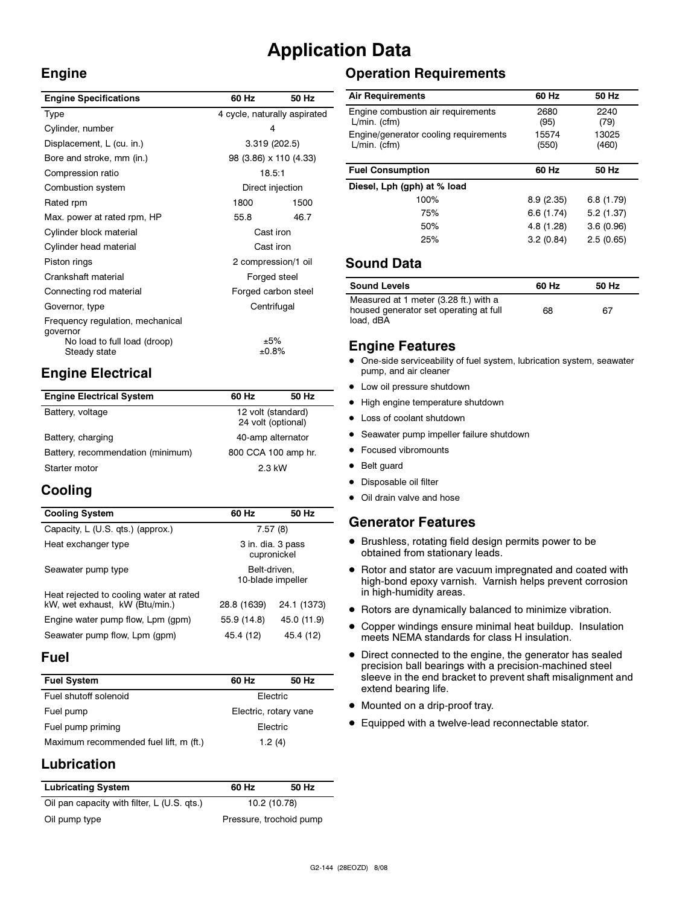# Application Data

## Engine

| <b>Engine Specifications</b>                 | 60 Hz                        | 50 Hz |
|----------------------------------------------|------------------------------|-------|
| Type                                         | 4 cycle, naturally aspirated |       |
| Cylinder, number                             | 4                            |       |
| Displacement, L (cu. in.)                    | 3.319 (202.5)                |       |
| Bore and stroke, mm (in.)                    | 98 (3.86) x 110 (4.33)       |       |
| Compression ratio                            | 18.5:1                       |       |
| Combustion system                            | Direct injection             |       |
| Rated rpm                                    | 1800                         | 1500  |
| Max. power at rated rpm, HP                  | 55.8                         | 46.7  |
| Cylinder block material                      | Cast iron                    |       |
| Cylinder head material                       | Cast iron                    |       |
| Piston rings                                 | 2 compression/1 oil          |       |
| Crankshaft material                          | Forged steel                 |       |
| Connecting rod material                      | Forged carbon steel          |       |
| Governor, type                               | Centrifugal                  |       |
| Frequency regulation, mechanical<br>qovernor |                              |       |
| No load to full load (droop)<br>Steady state | ±5%<br>±0.8%                 |       |
|                                              |                              |       |

# Engine Electrical

| <b>Engine Electrical System</b>   | 60 Hz                                    | 50 Hz |
|-----------------------------------|------------------------------------------|-------|
| Battery, voltage                  | 12 volt (standard)<br>24 volt (optional) |       |
| Battery, charging                 | 40-amp alternator                        |       |
| Battery, recommendation (minimum) | 800 CCA 100 amp hr.                      |       |
| 2.3 kW<br>Starter motor           |                                          |       |

# Cooling

| <b>Cooling System</b>                                                     | 60 Hz                             | 50 Hz       |
|---------------------------------------------------------------------------|-----------------------------------|-------------|
| Capacity, L (U.S. qts.) (approx.)                                         | 7.57(8)                           |             |
| Heat exchanger type                                                       | 3 in. dia. 3 pass<br>cupronickel  |             |
| Seawater pump type                                                        | Belt-driven,<br>10-blade impeller |             |
| Heat rejected to cooling water at rated<br>kW, wet exhaust, kW (Btu/min.) | 28.8 (1639)                       | 24.1 (1373) |
| Engine water pump flow, Lpm (gpm)                                         | 55.9 (14.8)                       | 45.0 (11.9) |
| Seawater pump flow, Lpm (gpm)                                             | 45.4 (12)                         | 45.4 (12)   |

## Fuel

| <b>Fuel System</b>                     | 60 Hz                 | 50 Hz |
|----------------------------------------|-----------------------|-------|
| Fuel shutoff solenoid                  | Electric              |       |
| Fuel pump                              | Electric, rotary vane |       |
| Fuel pump priming                      | Electric              |       |
| Maximum recommended fuel lift, m (ft.) | 1.2(4)                |       |

# Lubrication

| <b>Lubricating System</b>                   | 60 Hz                   | 50 Hz |
|---------------------------------------------|-------------------------|-------|
| Oil pan capacity with filter, L (U.S. gts.) | 10.2 (10.78)            |       |
| Oil pump type                               | Pressure, trochoid pump |       |

# Operation Requirements

| <b>Air Requirements</b>                                 | 60 Hz          | 50 Hz          |
|---------------------------------------------------------|----------------|----------------|
| Engine combustion air requirements<br>$L/min.$ (cfm)    | 2680<br>(95)   | 2240<br>(79)   |
| Engine/generator cooling reguirements<br>$L/min.$ (cfm) | 15574<br>(550) | 13025<br>(460) |
| <b>Fuel Consumption</b>                                 | 60 Hz          | 50 Hz          |
| Diesel, Lph (gph) at % load                             |                |                |
| 100%                                                    | 8.9(2.35)      | 6.8(1.79)      |
| 75%                                                     | 6.6(1.74)      | 5.2(1.37)      |
| 50%                                                     | 4.8 (1.28)     | 3.6(0.96)      |
| 25%                                                     | 3.2(0.84)      | 2.5(0.65)      |

### Sound Data

| <b>Sound Levels</b>                                                                          | 60 Hz | 50 Hz |
|----------------------------------------------------------------------------------------------|-------|-------|
| Measured at 1 meter (3.28 ft.) with a<br>housed generator set operating at full<br>load, dBA | 68    | 67    |

## Engine Features

- $\bullet$  One-side serviceability of fuel system, lubrication system, seawater pump, and air cleaner
- Low oil pressure shutdown
- High engine temperature shutdown
- Loss of coolant shutdown
- **•** Seawater pump impeller failure shutdown
- Focused vibromounts
- Belt guard
- · Disposable oil filter
- Oil drain valve and hose

### Generator Features

- Brushless, rotating field design permits power to be obtained from stationary leads.
- Rotor and stator are vacuum impregnated and coated with high-bond epoxy varnish. Varnish helps prevent corrosion in high-humidity areas.
- Rotors are dynamically balanced to minimize vibration.
- Copper windings ensure minimal heat buildup. Insulation meets NEMA standards for class H insulation.
- Direct connected to the engine, the generator has sealed precision ball bearings with a precision-machined steel sleeve in the end bracket to prevent shaft misalignment and extend bearing life.
- Mounted on a drip-proof tray.
- **•** Equipped with a twelve-lead reconnectable stator.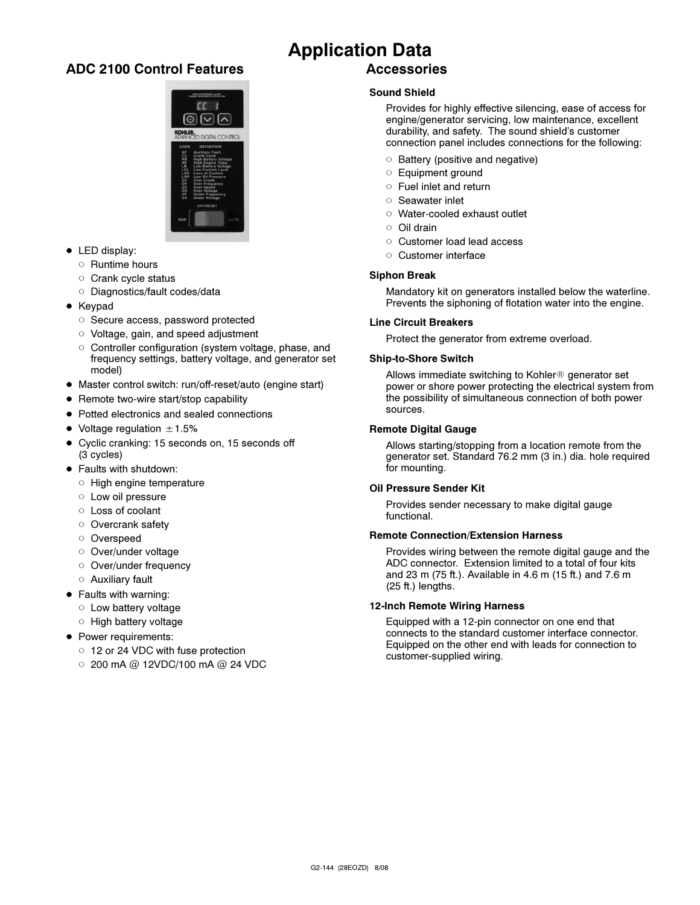## ADC 2100 Control Features



- LED display:
	- o Runtime hours
	- o Crank cycle status
	- o Diagnostics/fault codes/data
- Keypad
	- Secure access, password protected
	- o Voltage, gain, and speed adjustment
	- o Controller configuration (system voltage, phase, and frequency settings, battery voltage, and generator set model)
- Master control switch: run/off-reset/auto (engine start)
- Remote two-wire start/stop capability
- Potted electronics and sealed connections
- $\bullet$  Voltage regulation  $\pm$  1.5%
- Cyclic cranking: 15 seconds on, 15 seconds off (3 cycles)
- Faults with shutdown:
	- $\circ$  High engine temperature
	- o Low oil pressure
	- Loss of coolant
	- o Overcrank safety
	- o Overspeed
	- o Over/under voltage
	- o Over/under frequency
	- Auxiliary fault
- Faults with warning:
	- o Low battery voltage
	- o High battery voltage
- Power requirements:
	- 12 or 24 VDC with fuse protection
	- $\circ$  200 mA @ 12VDC/100 mA @ 24 VDC

### Application Data Accessories

### Sound Shield

Provides for highly effective silencing, ease of access for engine/generator servicing, low maintenance, excellent durability, and safety. The sound shield's customer connection panel includes connections for the following:

- $\circ$  Battery (positive and negative)
- Equipment ground
- Fuel inlet and return
- o Seawater inlet
- Water-cooled exhaust outlet
- o Oil drain
- o Customer load lead access
- o Customer interface

#### Siphon Break

Mandatory kit on generators installed below the waterline. Prevents the siphoning of flotation water into the engine.

#### Line Circuit Breakers

Protect the generator from extreme overload.

#### Ship-to-Shore Switch

Allows immediate switching to Kohler<sup>®</sup> generator set power or shore power protecting the electrical system from the possibility of simultaneous connection of both power sources.

#### Remote Digital Gauge

Allows starting/stopping from a location remote from the generator set. Standard 76.2 mm (3 in.) dia. hole required for mounting.

#### Oil Pressure Sender Kit

Provides sender necessary to make digital gauge functional.

#### Remote Connection/Extension Harness

Provides wiring between the remote digital gauge and the ADC connector. Extension limited to a total of four kits and 23 m (75 ft.). Available in 4.6 m (15 ft.) and 7.6 m (25 ft.) lengths.

#### 12-Inch Remote Wiring Harness

Equipped with a 12-pin connector on one end that connects to the standard customer interface connector. Equipped on the other end with leads for connection to customer-supplied wiring.